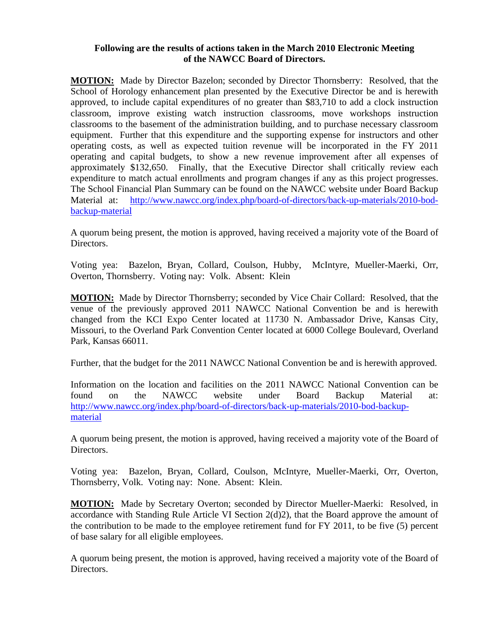## **Following are the results of actions taken in the March 2010 Electronic Meeting of the NAWCC Board of Directors.**

**MOTION:** Made by Director Bazelon; seconded by Director Thornsberry: Resolved, that the School of Horology enhancement plan presented by the Executive Director be and is herewith approved, to include capital expenditures of no greater than \$83,710 to add a clock instruction classroom, improve existing watch instruction classrooms, move workshops instruction classrooms to the basement of the administration building, and to purchase necessary classroom equipment. Further that this expenditure and the supporting expense for instructors and other operating costs, as well as expected tuition revenue will be incorporated in the FY 2011 operating and capital budgets, to show a new revenue improvement after all expenses of approximately \$132,650. Finally, that the Executive Director shall critically review each expenditure to match actual enrollments and program changes if any as this project progresses. The School Financial Plan Summary can be found on the NAWCC website under Board Backup Material at: [http://www.nawcc.org/index.php/board-of-directors/back-up-materials/2010-bod](http://www.nawcc.org/index.php/board-of-directors/back-up-materials/2010-bod-backup-material)[backup-material](http://www.nawcc.org/index.php/board-of-directors/back-up-materials/2010-bod-backup-material) 

A quorum being present, the motion is approved, having received a majority vote of the Board of Directors.

Voting yea: Bazelon, Bryan, Collard, Coulson, Hubby, McIntyre, Mueller-Maerki, Orr, Overton, Thornsberry. Voting nay: Volk. Absent: Klein

**MOTION:** Made by Director Thornsberry; seconded by Vice Chair Collard: Resolved, that the venue of the previously approved 2011 NAWCC National Convention be and is herewith changed from the KCI Expo Center located at 11730 N. Ambassador Drive, Kansas City, Missouri, to the Overland Park Convention Center located at 6000 College Boulevard, Overland Park, Kansas 66011.

Further, that the budget for the 2011 NAWCC National Convention be and is herewith approved.

Information on the location and facilities on the 2011 NAWCC National Convention can be found on the NAWCC website under Board Backup Material at: [http://www.nawcc.org/index.php/board-of-directors/back-up-materials/2010-bod-backup](http://www.nawcc.org/index-php/board-of-directors/back-up-materials/2010-bod-backup-material)[material](http://www.nawcc.org/index-php/board-of-directors/back-up-materials/2010-bod-backup-material)

A quorum being present, the motion is approved, having received a majority vote of the Board of Directors.

Voting yea: Bazelon, Bryan, Collard, Coulson, McIntyre, Mueller-Maerki, Orr, Overton, Thornsberry, Volk. Voting nay: None. Absent: Klein.

**MOTION:** Made by Secretary Overton; seconded by Director Mueller-Maerki: Resolved, in accordance with Standing Rule Article VI Section 2(d)2), that the Board approve the amount of the contribution to be made to the employee retirement fund for FY 2011, to be five (5) percent of base salary for all eligible employees.

A quorum being present, the motion is approved, having received a majority vote of the Board of Directors.